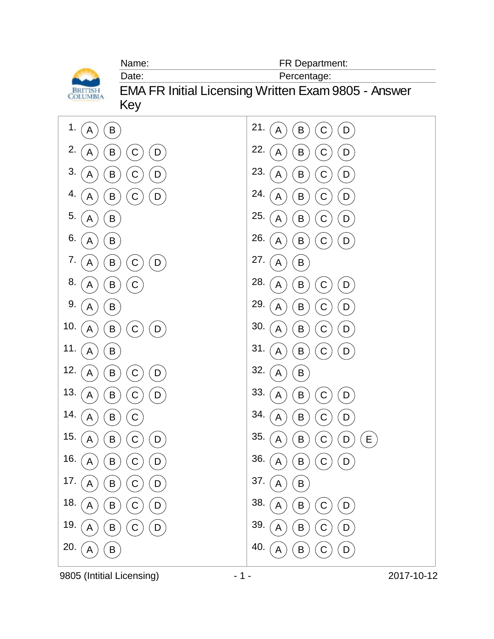

9805 (Intitial Licensing)  $-1$  -  $-1$  - 2017-10-12